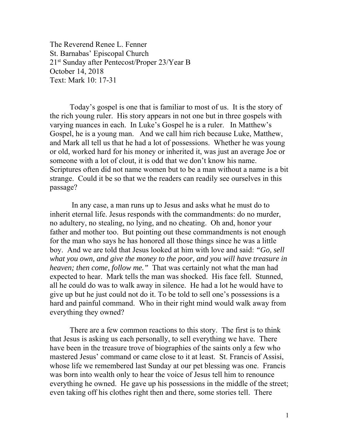The Reverend Renee L. Fenner St. Barnabas' Episcopal Church 21st Sunday after Pentecost/Proper 23/Year B October 14, 2018 Text: Mark 10: 17-31

 Today's gospel is one that is familiar to most of us. It is the story of the rich young ruler. His story appears in not one but in three gospels with varying nuances in each. In Luke's Gospel he is a ruler. In Matthew's Gospel, he is a young man. And we call him rich because Luke, Matthew, and Mark all tell us that he had a lot of possessions. Whether he was young or old, worked hard for his money or inherited it, was just an average Joe or someone with a lot of clout, it is odd that we don't know his name. Scriptures often did not name women but to be a man without a name is a bit strange. Could it be so that we the readers can readily see ourselves in this passage?

 In any case, a man runs up to Jesus and asks what he must do to inherit eternal life. Jesus responds with the commandments: do no murder, no adultery, no stealing, no lying, and no cheating. Oh and, honor your father and mother too. But pointing out these commandments is not enough for the man who says he has honored all those things since he was a little boy. And we are told that Jesus looked at him with love and said: *"Go, sell what you own, and give the money to the poor, and you will have treasure in heaven; then come, follow me."* That was certainly not what the man had expected to hear. Mark tells the man was shocked. His face fell. Stunned, all he could do was to walk away in silence. He had a lot he would have to give up but he just could not do it. To be told to sell one's possessions is a hard and painful command. Who in their right mind would walk away from everything they owned?

 There are a few common reactions to this story. The first is to think that Jesus is asking us each personally, to sell everything we have. There have been in the treasure trove of biographies of the saints only a few who mastered Jesus' command or came close to it at least. St. Francis of Assisi, whose life we remembered last Sunday at our pet blessing was one. Francis was born into wealth only to hear the voice of Jesus tell him to renounce everything he owned. He gave up his possessions in the middle of the street; even taking off his clothes right then and there, some stories tell. There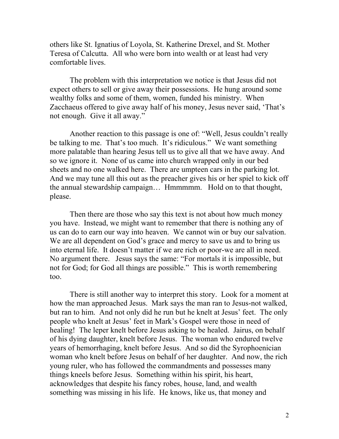others like St. Ignatius of Loyola, St. Katherine Drexel, and St. Mother Teresa of Calcutta. All who were born into wealth or at least had very comfortable lives.

 The problem with this interpretation we notice is that Jesus did not expect others to sell or give away their possessions. He hung around some wealthy folks and some of them, women, funded his ministry. When Zacchaeus offered to give away half of his money, Jesus never said, 'That's not enough. Give it all away."

 Another reaction to this passage is one of: "Well, Jesus couldn't really be talking to me. That's too much. It's ridiculous." We want something more palatable than hearing Jesus tell us to give all that we have away. And so we ignore it. None of us came into church wrapped only in our bed sheets and no one walked here. There are umpteen cars in the parking lot. And we may tune all this out as the preacher gives his or her spiel to kick off the annual stewardship campaign… Hmmmmm. Hold on to that thought, please.

 Then there are those who say this text is not about how much money you have. Instead, we might want to remember that there is nothing any of us can do to earn our way into heaven. We cannot win or buy our salvation. We are all dependent on God's grace and mercy to save us and to bring us into eternal life. It doesn't matter if we are rich or poor-we are all in need. No argument there. Jesus says the same: "For mortals it is impossible, but not for God; for God all things are possible." This is worth remembering too.

There is still another way to interpret this story. Look for a moment at how the man approached Jesus. Mark says the man ran to Jesus-not walked, but ran to him. And not only did he run but he knelt at Jesus' feet. The only people who knelt at Jesus' feet in Mark's Gospel were those in need of healing! The leper knelt before Jesus asking to be healed. Jairus, on behalf of his dying daughter, knelt before Jesus. The woman who endured twelve years of hemorrhaging, knelt before Jesus. And so did the Syrophoenician woman who knelt before Jesus on behalf of her daughter. And now, the rich young ruler, who has followed the commandments and possesses many things kneels before Jesus. Something within his spirit, his heart, acknowledges that despite his fancy robes, house, land, and wealth something was missing in his life. He knows, like us, that money and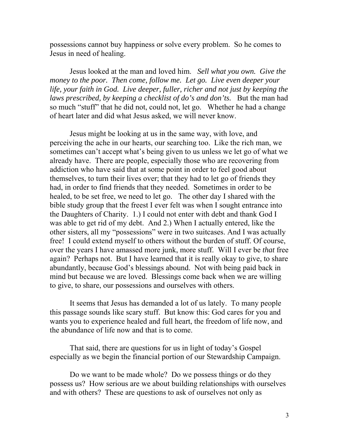possessions cannot buy happiness or solve every problem. So he comes to Jesus in need of healing.

Jesus looked at the man and loved him. *Sell what you own. Give the money to the poor. Then come, follow me. Let go. Live even deeper your life, your faith in God. Live deeper, fuller, richer and not just by keeping the laws prescribed, by keeping a checklist of do's and don'ts.* But the man had so much "stuff" that he did not, could not, let go. Whether he had a change of heart later and did what Jesus asked, we will never know.

Jesus might be looking at us in the same way, with love, and perceiving the ache in our hearts, our searching too. Like the rich man, we sometimes can't accept what's being given to us unless we let go of what we already have. There are people, especially those who are recovering from addiction who have said that at some point in order to feel good about themselves, to turn their lives over; that they had to let go of friends they had, in order to find friends that they needed. Sometimes in order to be healed, to be set free, we need to let go. The other day I shared with the bible study group that the freest I ever felt was when I sought entrance into the Daughters of Charity. 1.) I could not enter with debt and thank God I was able to get rid of my debt. And 2.) When I actually entered, like the other sisters, all my "possessions" were in two suitcases. And I was actually free! I could extend myself to others without the burden of stuff. Of course, over the years I have amassed more junk, more stuff. Will I ever be *that* free again? Perhaps not. But I have learned that it is really okay to give, to share abundantly, because God's blessings abound. Not with being paid back in mind but because we are loved. Blessings come back when we are willing to give, to share, our possessions and ourselves with others.

It seems that Jesus has demanded a lot of us lately. To many people this passage sounds like scary stuff. But know this: God cares for you and wants you to experience healed and full heart, the freedom of life now, and the abundance of life now and that is to come.

That said, there are questions for us in light of today's Gospel especially as we begin the financial portion of our Stewardship Campaign.

Do we want to be made whole? Do we possess things or do they possess us? How serious are we about building relationships with ourselves and with others? These are questions to ask of ourselves not only as